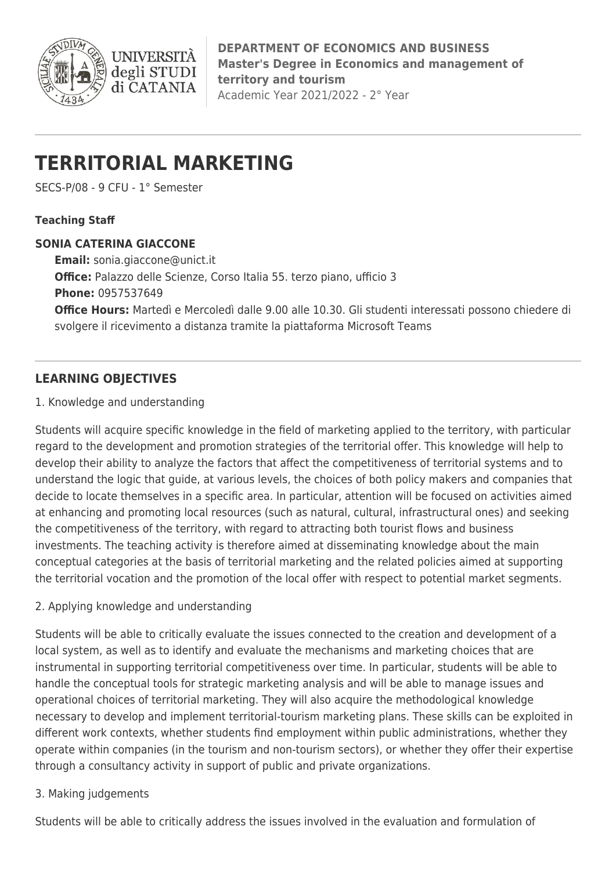

**DEPARTMENT OF ECONOMICS AND BUSINESS Master's Degree in Economics and management of territory and tourism** Academic Year 2021/2022 - 2° Year

# **TERRITORIAL MARKETING**

**INIVERS** 

degli STUDI di CATANIA

SECS-P/08 - 9 CFU - 1° Semester

## **Teaching Staff**

#### **SONIA CATERINA GIACCONE**

**Email:** [sonia.giaccone@unict.it](mailto:sonia.giaccone@unict.it) **Office:** Palazzo delle Scienze, Corso Italia 55. terzo piano, ufficio 3 **Phone:** 0957537649 **Office Hours:** Martedì e Mercoledì dalle 9.00 alle 10.30. Gli studenti interessati possono chiedere di svolgere il ricevimento a distanza tramite la piattaforma Microsoft Teams

# **LEARNING OBJECTIVES**

#### 1. Knowledge and understanding

Students will acquire specific knowledge in the field of marketing applied to the territory, with particular regard to the development and promotion strategies of the territorial offer. This knowledge will help to develop their ability to analyze the factors that affect the competitiveness of territorial systems and to understand the logic that guide, at various levels, the choices of both policy makers and companies that decide to locate themselves in a specific area. In particular, attention will be focused on activities aimed at enhancing and promoting local resources (such as natural, cultural, infrastructural ones) and seeking the competitiveness of the territory, with regard to attracting both tourist flows and business investments. The teaching activity is therefore aimed at disseminating knowledge about the main conceptual categories at the basis of territorial marketing and the related policies aimed at supporting the territorial vocation and the promotion of the local offer with respect to potential market segments.

#### 2. Applying knowledge and understanding

Students will be able to critically evaluate the issues connected to the creation and development of a local system, as well as to identify and evaluate the mechanisms and marketing choices that are instrumental in supporting territorial competitiveness over time. In particular, students will be able to handle the conceptual tools for strategic marketing analysis and will be able to manage issues and operational choices of territorial marketing. They will also acquire the methodological knowledge necessary to develop and implement territorial-tourism marketing plans. These skills can be exploited in different work contexts, whether students find employment within public administrations, whether they operate within companies (in the tourism and non-tourism sectors), or whether they offer their expertise through a consultancy activity in support of public and private organizations.

#### 3. Making judgements

Students will be able to critically address the issues involved in the evaluation and formulation of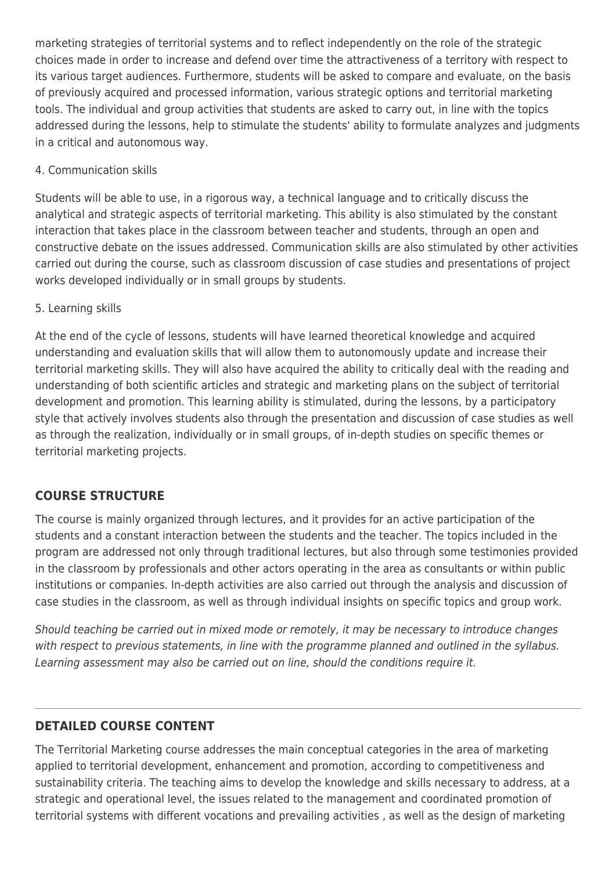marketing strategies of territorial systems and to reflect independently on the role of the strategic choices made in order to increase and defend over time the attractiveness of a territory with respect to its various target audiences. Furthermore, students will be asked to compare and evaluate, on the basis of previously acquired and processed information, various strategic options and territorial marketing tools. The individual and group activities that students are asked to carry out, in line with the topics addressed during the lessons, help to stimulate the students' ability to formulate analyzes and judgments in a critical and autonomous way.

#### 4. Communication skills

Students will be able to use, in a rigorous way, a technical language and to critically discuss the analytical and strategic aspects of territorial marketing. This ability is also stimulated by the constant interaction that takes place in the classroom between teacher and students, through an open and constructive debate on the issues addressed. Communication skills are also stimulated by other activities carried out during the course, such as classroom discussion of case studies and presentations of project works developed individually or in small groups by students.

#### 5. Learning skills

At the end of the cycle of lessons, students will have learned theoretical knowledge and acquired understanding and evaluation skills that will allow them to autonomously update and increase their territorial marketing skills. They will also have acquired the ability to critically deal with the reading and understanding of both scientific articles and strategic and marketing plans on the subject of territorial development and promotion. This learning ability is stimulated, during the lessons, by a participatory style that actively involves students also through the presentation and discussion of case studies as well as through the realization, individually or in small groups, of in-depth studies on specific themes or territorial marketing projects.

# **COURSE STRUCTURE**

The course is mainly organized through lectures, and it provides for an active participation of the students and a constant interaction between the students and the teacher. The topics included in the program are addressed not only through traditional lectures, but also through some testimonies provided in the classroom by professionals and other actors operating in the area as consultants or within public institutions or companies. In-depth activities are also carried out through the analysis and discussion of case studies in the classroom, as well as through individual insights on specific topics and group work.

Should teaching be carried out in mixed mode or remotely, it may be necessary to introduce changes with respect to previous statements, in line with the programme planned and outlined in the syllabus. Learning assessment may also be carried out on line, should the conditions require it.

#### **DETAILED COURSE CONTENT**

The Territorial Marketing course addresses the main conceptual categories in the area of marketing applied to territorial development, enhancement and promotion, according to competitiveness and sustainability criteria. The teaching aims to develop the knowledge and skills necessary to address, at a strategic and operational level, the issues related to the management and coordinated promotion of territorial systems with different vocations and prevailing activities , as well as the design of marketing